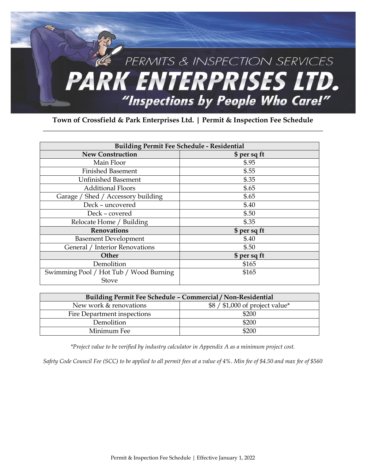

**Town of Crossfield & Park Enterprises Ltd. | Permit & Inspection Fee Schedule** 

| <b>Building Permit Fee Schedule - Residential</b> |              |  |
|---------------------------------------------------|--------------|--|
| <b>New Construction</b>                           | \$ per sq ft |  |
| Main Floor                                        | \$.95        |  |
| Finished Basement                                 | \$.55        |  |
| <b>Unfinished Basement</b>                        | \$.35        |  |
| <b>Additional Floors</b>                          | \$.65        |  |
| Garage / Shed / Accessory building                | \$.65        |  |
| Deck - uncovered                                  | \$.40        |  |
| Deck - covered                                    | \$.50        |  |
| Relocate Home / Building                          | \$.35        |  |
| <b>Renovations</b>                                | \$ per sq ft |  |
| <b>Basement Development</b>                       | \$.40        |  |
| General / Interior Renovations                    | \$.50        |  |
| Other                                             | \$ per sq ft |  |
| Demolition                                        | \$165        |  |
| Swimming Pool / Hot Tub / Wood Burning            | \$165        |  |
| Stove                                             |              |  |

| Building Permit Fee Schedule - Commercial / Non-Residential |                                 |  |
|-------------------------------------------------------------|---------------------------------|--|
| New work & renovations                                      | $$8 / $1,000$ of project value* |  |
| Fire Department inspections                                 | \$200                           |  |
| Demolition                                                  | \$200                           |  |
| Minimum Fee                                                 | \$200                           |  |

*\*Project value to be verified by industry calculator in Appendix A as a minimum project cost.* 

*Safety Code Council Fee (SCC) to be applied to all permit fees at a value of 4%. Min fee of \$4.50 and max fee of \$560*